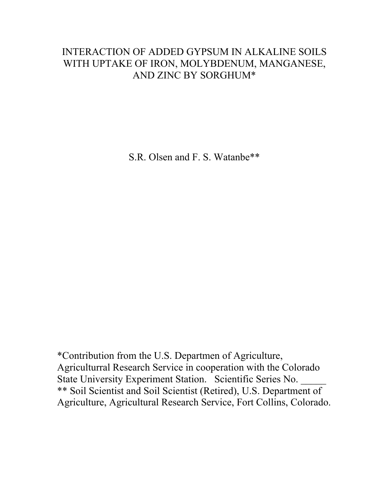# INTERACTION OF ADDED GYPSUM IN ALKALINE SOILS WITH UPTAKE OF IRON, MOLYBDENUM, MANGANESE, AND ZINC BY SORGHUM\*

S.R. Olsen and F. S. Watanbe\*\*

\*Contribution from the U.S. Departmen of Agriculture, Agriculturral Research Service in cooperation with the Colorado State University Experiment Station. Scientific Series No. \*\* Soil Scientist and Soil Scientist (Retired), U.S. Department of Agriculture, Agricultural Research Service, Fort Collins, Colorado.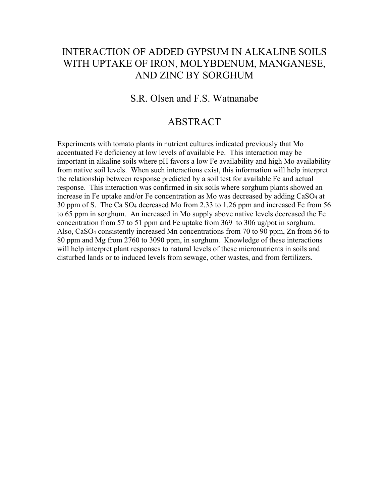# INTERACTION OF ADDED GYPSUM IN ALKALINE SOILS WITH UPTAKE OF IRON, MOLYBDENUM, MANGANESE, AND ZINC BY SORGHUM

### S.R. Olsen and F.S. Watnanabe

### ABSTRACT

Experiments with tomato plants in nutrient cultures indicated previously that Mo accentuated Fe deficiency at low levels of available Fe. This interaction may be important in alkaline soils where pH favors a low Fe availability and high Mo availability from native soil levels. When such interactions exist, this information will help interpret the relationship between response predicted by a soil test for available Fe and actual response. This interaction was confirmed in six soils where sorghum plants showed an increase in Fe uptake and/or Fe concentration as Mo was decreased by adding CaSO4 at 30 ppm of S. The Ca SO4 decreased Mo from 2.33 to 1.26 ppm and increased Fe from 56 to 65 ppm in sorghum. An increased in Mo supply above native levels decreased the Fe concentration from 57 to 51 ppm and Fe uptake from 369 to 306 ug/pot in sorghum. Also, CaSO4 consistently increased Mn concentrations from 70 to 90 ppm, Zn from 56 to 80 ppm and Mg from 2760 to 3090 ppm, in sorghum. Knowledge of these interactions will help interpret plant responses to natural levels of these micronutrients in soils and disturbed lands or to induced levels from sewage, other wastes, and from fertilizers.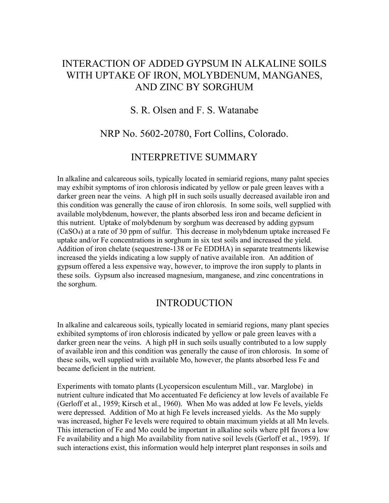# INTERACTION OF ADDED GYPSUM IN ALKALINE SOILS WITH UPTAKE OF IRON, MOLYBDENUM, MANGANES, AND ZINC BY SORGHUM

### S. R. Olsen and F. S. Watanabe

### NRP No. 5602-20780, Fort Collins, Colorado.

#### INTERPRETIVE SUMMARY

In alkaline and calcareous soils, typically located in semiarid regions, many palnt species may exhibit symptoms of iron chlorosis indicated by yellow or pale green leaves with a darker green near the veins. A high pH in such soils usually decreased available iron and this condition was generally the cause of iron chlorosis. In some soils, well supplied with available molybdenum, however, the plants absorbed less iron and became deficient in this nutrient. Uptake of molybdenum by sorghum was decreased by adding gypsum (CaSO4) at a rate of 30 ppm of sulfur. This decrease in molybdenum uptake increased Fe uptake and/or Fe concentrations in sorghum in six test soils and increased the yield. Addition of iron chelate (sequestrene-138 or Fe EDDHA) in separate treatments likewise increased the yields indicating a low supply of native available iron. An addition of gypsum offered a less expensive way, however, to improve the iron supply to plants in these soils. Gypsum also increased magnesium, manganese, and zinc concentrations in the sorghum.

### INTRODUCTION

In alkaline and calcareous soils, typically located in semiarid regions, many plant species exhibited symptoms of iron chlorosis indicated by yellow or pale green leaves with a darker green near the veins. A high pH in such soils usually contributed to a low supply of available iron and this condition was generally the cause of iron chlorosis. In some of these soils, well supplied with available Mo, however, the plants absorbed less Fe and became deficient in the nutrient.

Experiments with tomato plants (Lycopersicon esculentum Mill., var. Marglobe) in nutrient culture indicated that Mo accentuated Fe deficiency at low levels of available Fe (Gerloff et al., 1959; Kirsch et al., 1960). When Mo was added at low Fe levels, yields were depressed. Addition of Mo at high Fe levels increased yields. As the Mo supply was increased, higher Fe levels were required to obtain maximum yields at all Mn levels. This interaction of Fe and Mo could be important in alkaline soils where pH favors a low Fe availability and a high Mo availability from native soil levels (Gerloff et al., 1959). If such interactions exist, this information would help interpret plant responses in soils and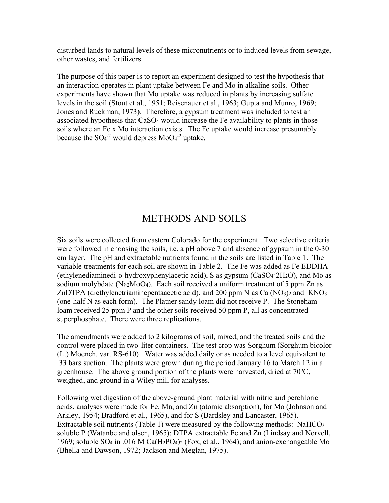disturbed lands to natural levels of these micronutrients or to induced levels from sewage, other wastes, and fertilizers.

The purpose of this paper is to report an experiment designed to test the hypothesis that an interaction operates in plant uptake between Fe and Mo in alkaline soils. Other experiments have shown that Mo uptake was reduced in plants by increasing sulfate levels in the soil (Stout et al., 1951; Reisenauer et al., 1963; Gupta and Munro, 1969; Jones and Ruckman, 1973). Therefore, a gypsum treatment was included to test an associated hypothesis that CaSO4 would increase the Fe availability to plants in those soils where an Fe x Mo interaction exists. The Fe uptake would increase presumably because the  $SO_4^2$  would depress  $MoO_4^2$  uptake.

## METHODS AND SOILS

Six soils were collected from eastern Colorado for the experiment. Two selective criteria were followed in choosing the soils, i.e. a pH above 7 and absence of gypsum in the 0-30 cm layer. The pH and extractable nutrients found in the soils are listed in Table 1. The variable treatments for each soil are shown in Table 2. The Fe was added as Fe EDDHA (ethylenediaminedi-o-hydroxyphenylacetic acid), S as gypsum (CaSO4 **.** 2H2O), and Mo as sodium molybdate (Na2MoO4). Each soil received a uniform treatment of 5 ppm Zn as ZnDTPA (diethylenetriaminepentaacetic acid), and 200 ppm N as Ca  $(NO<sub>3</sub>)<sub>2</sub>$  and KNO<sub>3</sub> (one-half N as each form). The Platner sandy loam did not receive P. The Stoneham loam received 25 ppm P and the other soils received 50 ppm P, all as concentrated superphosphate. There were three replications.

The amendments were added to 2 kilograms of soil, mixed, and the treated soils and the control were placed in two-liter containers. The test crop was Sorghum (Sorghum bicolor (L.) Moench. var. RS-610). Water was added daily or as needed to a level equivalent to .33 bars suction. The plants were grown during the period January 16 to March 12 in a greenhouse. The above ground portion of the plants were harvested, dried at  $70^{\circ}$ C, weighed, and ground in a Wiley mill for analyses.

Following wet digestion of the above-ground plant material with nitric and perchloric acids, analyses were made for Fe, Mn, and Zn (atomic absorption), for Mo (Johnson and Arkley, 1954; Bradford et al., 1965), and for S (Bardsley and Lancaster, 1965). Extractable soil nutrients (Table 1) were measured by the following methods: NaHCO3 soluble P (Watanbe and olsen, 1965); DTPA extractable Fe and Zn (Lindsay and Norvell, 1969; soluble SO4 in .016 M Ca(H2PO4)2 (Fox, et al., 1964); and anion-exchangeable Mo (Bhella and Dawson, 1972; Jackson and Meglan, 1975).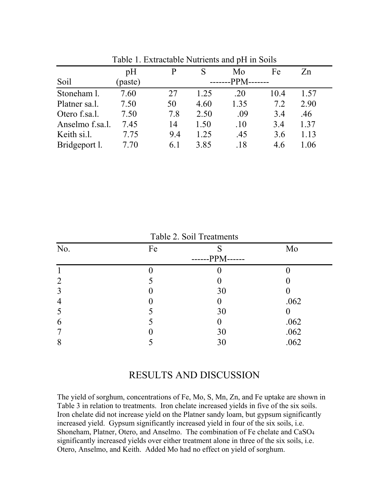|                 | pH      |         |      | Mo   | Fe   | Zn   |  |  |  |
|-----------------|---------|---------|------|------|------|------|--|--|--|
| Soil            | (paste) | $-PPM-$ |      |      |      |      |  |  |  |
| Stoneham 1.     | 7.60    | 27      | 1.25 | .20  | 10.4 | 1.57 |  |  |  |
| Platner sa.l.   | 7.50    | 50      | 4.60 | 1.35 | 7.2  | 2.90 |  |  |  |
| Otero f.sa.l.   | 7.50    | 7.8     | 2.50 | .09  | 3.4  | .46  |  |  |  |
| Anselmo f.sa.l. | 7.45    | 14      | 1.50 | .10  | 3.4  | 1.37 |  |  |  |
| Keith si.l.     | 7.75    | 9.4     | 1.25 | .45  | 3.6  | 1.13 |  |  |  |
| Bridgeport l.   | 7.70    | 6.1     | 3.85 | .18  | 4.6  | 1.06 |  |  |  |

Table 1. Extractable Nutrients and pH in Soils

|                |    | Table 2. Soil Treatments |      |
|----------------|----|--------------------------|------|
| No.            | Fe |                          | Mo   |
|                |    | $-PPM-$                  |      |
|                |    |                          |      |
| $\overline{2}$ |    |                          |      |
| 3              |    | 30                       |      |
| $\overline{4}$ |    |                          | .062 |
| 5              |    | 30                       |      |
| 6              |    |                          | .062 |
|                |    | 30                       | .062 |
| 8              |    | 30                       | .062 |

 $T_{\text{e}}$ kle $\Omega$ . Soil  $T_{\text{measured}}$ 

### RESULTS AND DISCUSSION

The yield of sorghum, concentrations of Fe, Mo, S, Mn, Zn, and Fe uptake are shown in Table 3 in relation to treatments. Iron chelate increased yields in five of the six soils. Iron chelate did not increase yield on the Platner sandy loam, but gypsum significantly increased yield. Gypsum significantly increased yield in four of the six soils, i.e. Shoneham, Platner, Otero, and Anselmo. The combination of Fe chelate and CaSO4 significantly increased yields over either treatment alone in three of the six soils, i.e. Otero, Anselmo, and Keith. Added Mo had no effect on yield of sorghum.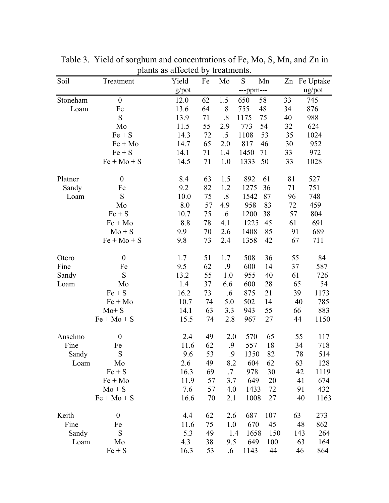| Soil     | Treatment        | Yield    | Fe | Mo                | S         | Mn  |     | Zn Fe Uptake |
|----------|------------------|----------|----|-------------------|-----------|-----|-----|--------------|
|          |                  | $g$ /pot |    |                   | ---ppm--- |     |     | ug/pot       |
| Stoneham | $\boldsymbol{0}$ | 12.0     | 62 | 1.5               | 650       | 58  | 33  | 745          |
| Loam     | Fe               | 13.6     | 64 | $\boldsymbol{.8}$ | 755       | 48  | 34  | 876          |
|          | S                | 13.9     | 71 | .8                | 1175      | 75  | 40  | 988          |
|          | Mo               | 11.5     | 55 | 2.9               | 773       | 54  | 32  | 624          |
|          | $Fe + S$         | 14.3     | 72 | .5                | 1108      | 53  | 35  | 1024         |
|          | $Fe + Mo$        | 14.7     | 65 | 2.0               | 817       | 46  | 30  | 952          |
|          | $Fe + S$         | 14.1     | 71 | 1.4               | 1450      | 71  | 33  | 972          |
|          | $Fe + Mo + S$    | 14.5     | 71 | 1.0               | 1333      | 50  | 33  | 1028         |
| Platner  | $\theta$         | 8.4      | 63 | 1.5               | 892       | 61  | 81  | 527          |
| Sandy    | Fe               | 9.2      | 82 | 1.2               | 1275      | 36  | 71  | 751          |
| Loam     | S                | 10.0     | 75 | .8                | 1542      | 87  | 96  | 748          |
|          | Mo               | 8.0      | 57 | 4.9               | 958       | 83  | 72  | 459          |
|          | $Fe + S$         | 10.7     | 75 | .6                | 1200      | 38  | 57  | 804          |
|          | $Fe + Mo$        | 8.8      | 78 | 4.1               | 1225      | 45  | 61  | 691          |
|          | $Mo + S$         | 9.9      | 70 | 2.6               | 1408      | 85  | 91  | 689          |
|          | $Fe + Mo + S$    | 9.8      | 73 | 2.4               | 1358      | 42  | 67  | 711          |
| Otero    | $\boldsymbol{0}$ | 1.7      | 51 | 1.7               | 508       | 36  | 55  | 84           |
| Fine     | Fe               | 9.5      | 62 | $\cdot$ .9        | 600       | 14  | 37  | 587          |
| Sandy    | S                | 13.2     | 55 | 1.0               | 955       | 40  | 61  | 726          |
| Loam     | Mo               | 1.4      | 37 | 6.6               | 600       | 28  | 65  | 54           |
|          | $Fe + S$         | 16.2     | 73 | $.6\,$            | 875       | 21  | 39  | 1173         |
|          | $Fe + Mo$        | 10.7     | 74 | 5.0               | 502       | 14  | 40  | 785          |
|          | $Mo + S$         | 14.1     | 63 | 3.3               | 943       | 55  | 66  | 883          |
|          | $Fe + Mo + S$    | 15.5     | 74 | 2.8               | 967       | 27  | 44  | 1150         |
| Anselmo  | $\boldsymbol{0}$ | 2.4      | 49 | 2.0               | 570       | 65  | 55  | 117          |
| Fine     | Fe               | 11.6     | 62 | .9                | 557       | 18  | 34  | 718          |
| Sandy    | S                | 9.6      | 53 | 9.                | 1350      | 82  | 78  | 514          |
| Loam     | Mo               | 2.6      | 49 | 8.2               | 604       | 62  | 63  | 128          |
|          | $Fe + S$         | 16.3     | 69 | $.7\,$            | 978       | 30  | 42  | 1119         |
|          | $Fe + Mo$        | 11.9     | 57 | 3.7               | 649       | 20  | 41  | 674          |
|          | $Mo + S$         | 7.6      | 57 | 4.0               | 1433      | 72  | 91  | 432          |
|          | $Fe + Mo + S$    | 16.6     | 70 | 2.1               | 1008      | 27  | 40  | 1163         |
| Keith    | $\boldsymbol{0}$ | 4.4      | 62 | 2.6               | 687       | 107 | 63  | 273          |
| Fine     | Fe               | 11.6     | 75 | 1.0               | 670       | 45  | 48  | 862          |
| Sandy    | S                | 5.3      | 49 | 1.4               | 1658      | 150 | 143 | 264          |
| Loam     | Mo               | 4.3      | 38 | 9.5               | 649       | 100 | 63  | 164          |
|          | $Fe + S$         | 16.3     | 53 | $.6\,$            | 1143      | 44  | 46  | 864          |

Table 3. Yield of sorghum and concentrations of Fe, Mo, S, Mn, and Zn in plants as affected by treatments.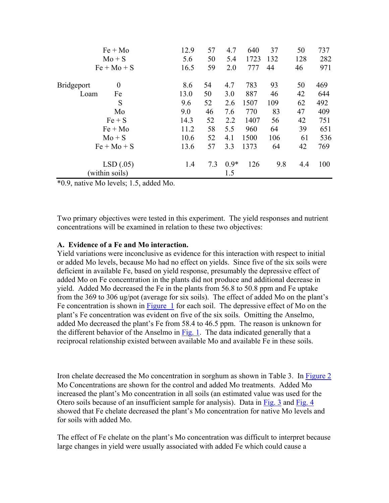| $Fe + Mo$                     | 12.9 | 57  | 4.7    | 640  | 37  | 50  | 737 |
|-------------------------------|------|-----|--------|------|-----|-----|-----|
| $Mo + S$                      | 5.6  | 50  | 5.4    | 1723 | 132 | 128 | 282 |
| $Fe + Mo + S$                 | 16.5 | 59  | 2.0    | 777  | 44  | 46  | 971 |
| $\theta$<br><b>Bridgeport</b> | 8.6  | 54  | 4.7    | 783  | 93  | 50  | 469 |
| Fe<br>Loam                    | 13.0 | 50  | 3.0    | 887  | 46  | 42  | 644 |
| S                             | 9.6  | 52  | 2.6    | 1507 | 109 | 62  | 492 |
| Mo                            | 9.0  | 46  | 7.6    | 770  | 83  | 47  | 409 |
| $Fe + S$                      | 14.3 | 52  | 2.2    | 1407 | 56  | 42  | 751 |
| $Fe + Mo$                     | 11.2 | 58  | 5.5    | 960  | 64  | 39  | 651 |
| $Mo + S$                      | 10.6 | 52  | 4.1    | 1500 | 106 | 61  | 536 |
| $Fe + Mo + S$                 | 13.6 | 57  | 3.3    | 1373 | 64  | 42  | 769 |
| LSD(.05)                      | 1.4  | 7.3 | $0.9*$ | 126  | 9.8 | 4.4 | 100 |
| (within soils)                |      |     | 1.5    |      |     |     |     |

\*0.9, native Mo levels; 1.5, added Mo.

Two primary objectives were tested in this experiment. The yield responses and nutrient concentrations will be examined in relation to these two objectives:

#### **A. Evidence of a Fe and Mo interaction.**

Yield variations were inconclusive as evidence for this interaction with respect to initial or added Mo levels, because Mo had no effect on yields. Since five of the six soils were deficient in available Fe, based on yield response, presumably the depressive effect of added Mo on Fe concentration in the plants did not produce and additional decrease in yield. Added Mo decreased the Fe in the plants from 56.8 to 50.8 ppm and Fe uptake from the 369 to 306 ug/pot (average for six soils). The effect of added Mo on the plant's Fe concentration is shown in Figure 1 for each soil. The depressive effect of Mo on the plant's Fe concentration was evident on five of the six soils. Omitting the Anselmo, added Mo decreased the plant's Fe from 58.4 to 46.5 ppm. The reason is unknown for the different behavior of the Anselmo in Fig. 1. The data indicated generally that a reciprocal relationship existed between available Mo and available Fe in these soils.

Iron chelate decreased the Mo concentration in sorghum as shown in Table 3. In Figure 2 Mo Concentrations are shown for the control and added Mo treatments. Added Mo increased the plant's Mo concentration in all soils (an estimated value was used for the Otero soils because of an insufficient sample for analysis). Data in Fig. 3 and Fig. 4 showed that Fe chelate decreased the plant's Mo concentration for native Mo levels and for soils with added Mo.

The effect of Fe chelate on the plant's Mo concentration was difficult to interpret because large changes in yield were usually associated with added Fe which could cause a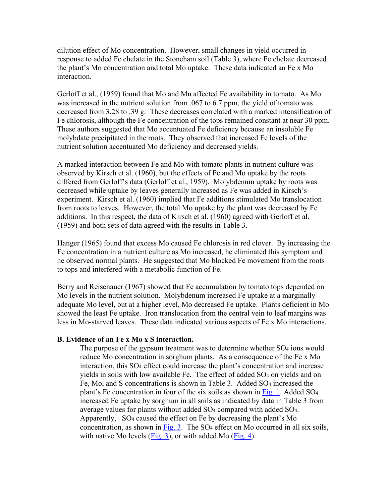dilution effect of Mo concentration. However, small changes in yield occurred in response to added Fe chelate in the Stoneham soil (Table 3), where Fe chelate decreased the plant's Mo concentration and total Mo uptake. These data indicated an Fe x Mo interaction.

Gerloff et al., (1959) found that Mo and Mn affected Fe availability in tomato. As Mo was increased in the nutrient solution from .067 to 6.7 ppm, the yield of tomato was decreased from 3.28 to .39 g. These decreases correlated with a marked intensification of Fe chlorosis, although the Fe concentration of the tops remained constant at near 30 ppm. These authors suggested that Mo accentuated Fe deficiency because an insoluble Fe molybdate precipitated in the roots. They observed that increased Fe levels of the nutrient solution accentuated Mo deficiency and decreased yields.

A marked interaction between Fe and Mo with tomato plants in nutrient culture was observed by Kirsch et al. (1960), but the effects of Fe and Mo uptake by the roots differed from Gerloff's data (Gerloff et al., 1959). Molybdenum uptake by roots was decreased while uptake by leaves generally increased as Fe was added in Kirsch's experiment. Kirsch et al. (1960) implied that Fe additions stimulated Mo translocation from roots to leaves. However, the total Mo uptake by the plant was decreased by Fe additions. In this respect, the data of Kirsch et al. (1960) agreed with Gerloff et al. (1959) and both sets of data agreed with the results in Table 3.

Hanger (1965) found that excess Mo caused Fe chlorosis in red clover. By increasing the Fe concentration in a nutrient culture as Mo increased, he eliminated this symptom and he observed normal plants. He suggested that Mo blocked Fe movement from the roots to tops and interfered with a metabolic function of Fe.

Berry and Reisenauer (1967) showed that Fe accumulation by tomato tops depended on Mo levels in the nutrient solution. Molybdenum increased Fe uptake at a marginally adequate Mo level, but at a higher level, Mo decreased Fe uptake. Plants deficient in Mo showed the least Fe uptake. Iron translocation from the central vein to leaf margins was less in Mo-starved leaves. These data indicated various aspects of Fe x Mo interactions.

#### **B. Evidence of an Fe x Mo x S interaction.**

The purpose of the gypsum treatment was to determine whether  $SO<sub>4</sub>$  ions would reduce Mo concentration in sorghum plants. As a consequence of the Fe x Mo interaction, this SO4 effect could increase the plant's concentration and increase yields in soils with low available Fe. The effect of added SO4 on yields and on Fe, Mo, and S concentrations is shown in Table 3. Added SO4 increased the plant's Fe concentration in four of the six soils as shown in Fig. 1. Added SO4 increased Fe uptake by sorghum in all soils as indicated by data in Table 3 from average values for plants without added SO4 compared with added SO4. Apparently, SO4 caused the effect on Fe by decreasing the plant's Mo concentration, as shown in Fig. 3. The SO4 effect on Mo occurred in all six soils, with native Mo levels (Fig. 3), or with added Mo (Fig. 4).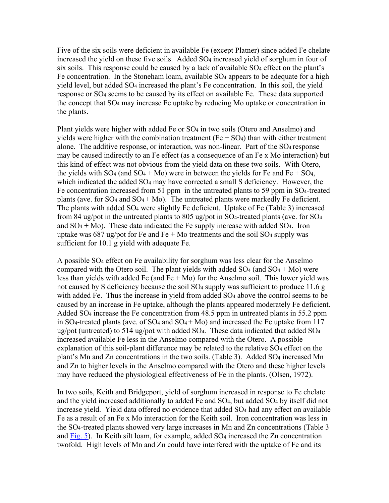Five of the six soils were deficient in available Fe (except Platner) since added Fe chelate increased the yield on these five soils. Added SO<sub>4</sub> increased yield of sorghum in four of six soils. This response could be caused by a lack of available  $SO<sub>4</sub>$  effect on the plant's Fe concentration. In the Stoneham loam, available SO4 appears to be adequate for a high yield level, but added SO4 increased the plant's Fe concentration. In this soil, the yield response or SO4 seems to be caused by its effect on available Fe. These data supported the concept that SO4 may increase Fe uptake by reducing Mo uptake or concentration in the plants.

Plant yields were higher with added Fe or SO4 in two soils (Otero and Anselmo) and yields were higher with the combination treatment ( $Fe + SO<sub>4</sub>$ ) than with either treatment alone. The additive response, or interaction, was non-linear. Part of the SO<sub>4</sub> response may be caused indirectly to an Fe effect (as a consequence of an Fe x Mo interaction) but this kind of effect was not obvious from the yield data on these two soils. With Otero, the yields with  $SO_4$  (and  $SO_4 + Mo$ ) were in between the yields for Fe and Fe +  $SO_4$ , which indicated the added SO<sub>4</sub> may have corrected a small S deficiency. However, the Fe concentration increased from 51 ppm in the untreated plants to 59 ppm in SO4-treated plants (ave. for  $SO_4$  and  $SO_4 + Mo$ ). The untreated plants were markedly Fe deficient. The plants with added SO4 were slightly Fe deficient. Uptake of Fe (Table 3) increased from 84 ug/pot in the untreated plants to 805 ug/pot in SO4-treated plants (ave. for SO4 and  $SO_4 + Mo$ ). These data indicated the Fe supply increase with added  $SO_4$ . Iron uptake was 687 ug/pot for Fe and Fe + Mo treatments and the soil  $SO_4$  supply was sufficient for 10.1 g yield with adequate Fe.

A possible SO4 effect on Fe availability for sorghum was less clear for the Anselmo compared with the Otero soil. The plant yields with added  $SO_4$  (and  $SO_4 + Mo$ ) were less than yields with added Fe (and  $Fe + Mo$ ) for the Anselmo soil. This lower yield was not caused by S deficiency because the soil SO4 supply was sufficient to produce 11.6 g with added Fe. Thus the increase in yield from added SO<sub>4</sub> above the control seems to be caused by an increase in Fe uptake, although the plants appeared moderately Fe deficient. Added SO4 increase the Fe concentration from 48.5 ppm in untreated plants in 55.2 ppm in SO<sub>4</sub>-treated plants (ave. of SO<sub>4</sub> and SO<sub>4</sub> + M<sub>o</sub>) and increased the Fe uptake from 117 ug/pot (untreated) to 514 ug/pot with added  $SO_4$ . These data indicated that added  $SO_4$ increased available Fe less in the Anselmo compared with the Otero. A possible explanation of this soil-plant difference may be related to the relative SO<sub>4</sub> effect on the plant's Mn and Zn concentrations in the two soils. (Table 3). Added SO<sub>4</sub> increased Mn and Zn to higher levels in the Anselmo compared with the Otero and these higher levels may have reduced the physiological effectiveness of Fe in the plants. (Olsen, 1972).

In two soils, Keith and Bridgeport, yield of sorghum increased in response to Fe chelate and the yield increased additionally to added Fe and SO4, but added SO4 by itself did not increase yield. Yield data offered no evidence that added SO4 had any effect on available Fe as a result of an Fe x Mo interaction for the Keith soil. Iron concentration was less in the SO4-treated plants showed very large increases in Mn and Zn concentrations (Table 3 and Fig. 5). In Keith silt loam, for example, added  $SO_4$  increased the Zn concentration twofold. High levels of Mn and Zn could have interfered with the uptake of Fe and its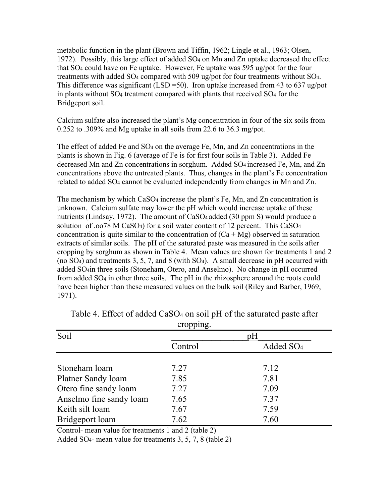metabolic function in the plant (Brown and Tiffin, 1962; Lingle et al., 1963; Olsen, 1972). Possibly, this large effect of added SO4 on Mn and Zn uptake decreased the effect that SO4 could have on Fe uptake. However, Fe uptake was 595 ug/pot for the four treatments with added  $SO_4$  compared with 509 ug/pot for four treatments without  $SO_4$ . This difference was significant (LSD = 50). Iron uptake increased from 43 to 637 ug/pot in plants without SO4 treatment compared with plants that received SO4 for the Bridgeport soil.

Calcium sulfate also increased the plant's Mg concentration in four of the six soils from 0.252 to .309% and Mg uptake in all soils from 22.6 to 36.3 mg/pot.

The effect of added Fe and SO<sub>4</sub> on the average Fe, Mn, and Zn concentrations in the plants is shown in Fig. 6 (average of Fe is for first four soils in Table 3). Added Fe decreased Mn and Zn concentrations in sorghum. Added SO4 increased Fe, Mn, and Zn concentrations above the untreated plants. Thus, changes in the plant's Fe concentration related to added SO4 cannot be evaluated independently from changes in Mn and Zn.

The mechanism by which CaSO4 increase the plant's Fe, Mn, and Zn concentration is unknown. Calcium sulfate may lower the pH which would increase uptake of these nutrients (Lindsay, 1972). The amount of CaSO<sub>4</sub> added (30 ppm S) would produce a solution of .oo78 M CaSO4) for a soil water content of 12 percent. This CaSO4 concentration is quite similar to the concentration of  $(Ca + Mg)$  observed in saturation extracts of similar soils. The pH of the saturated paste was measured in the soils after cropping by sorghum as shown in Table 4. Mean values are shown for treatments 1 and 2 (no SO4) and treatments 3, 5, 7, and 8 (with SO4). A small decrease in pH occurred with added SO4in three soils (Stoneham, Otero, and Anselmo). No change in pH occurred from added SO4 in other three soils. The pH in the rhizosphere around the roots could have been higher than these measured values on the bulk soil (Riley and Barber, 1969, 1971).

|                         | . L. L.<br>ے |                       |  |  |  |
|-------------------------|--------------|-----------------------|--|--|--|
| Soil                    | рH           |                       |  |  |  |
|                         | Control      | Added SO <sub>4</sub> |  |  |  |
|                         |              |                       |  |  |  |
| Stoneham loam           | 7.27         | 7.12                  |  |  |  |
| Platner Sandy loam      | 7.85         | 7.81                  |  |  |  |
| Otero fine sandy loam   | 7.27         | 7.09                  |  |  |  |
| Anselmo fine sandy loam | 7.65         | 7.37                  |  |  |  |
| Keith silt loam         | 7.67         | 7.59                  |  |  |  |
| Bridgeport loam         | 7.62         | 7.60                  |  |  |  |

Table 4. Effect of added CaSO<sub>4</sub> on soil pH of the saturated paste after cropping.

Control- mean value for treatments 1 and 2 (table 2)

Added SO4- mean value for treatments 3, 5, 7, 8 (table 2)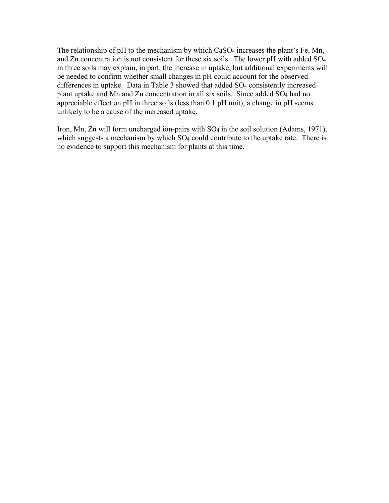The relationship of pH to the mechanism by which CaSO<sub>4</sub> increases the plant's Fe, Mn, and Zn concentration is not consistent for these six soils. The lower pH with added SO4 in three soils may explain, in part, the increase in uptake, but additional experiments will be needed to confirm whether small changes in pH could account for the observed differences in uptake. Data in Table 3 showed that added SO4 consistently increased plant uptake and Mn and Zn concentration in all six soils. Since added SO4 had no appreciable effect on pH in three soils (less than 0.1 pH unit), a change in pH seems unlikely to be a cause of the increased uptake.

Iron, Mn, Zn will form uncharged ion-pairs with SO<sub>4</sub> in the soil solution (Adams, 1971), which suggests a mechanism by which SO<sub>4</sub> could contribute to the uptake rate. There is no evidence to support this mechanism for plants at this time.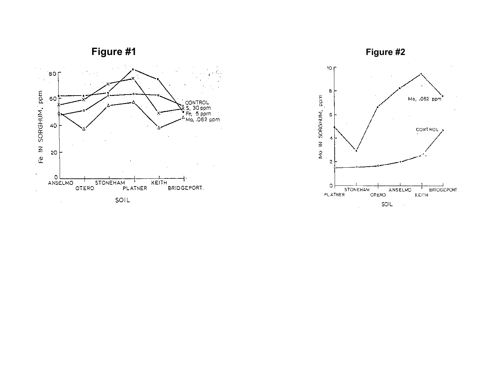



 $\mathcal{L}_{\mathcal{A}}$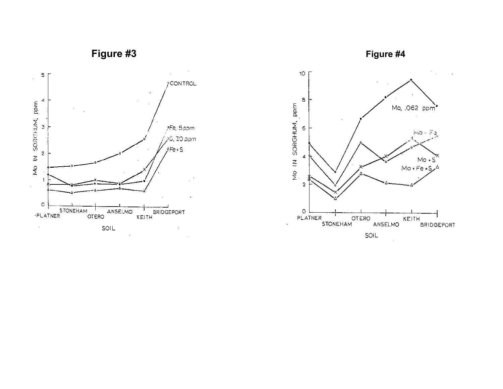

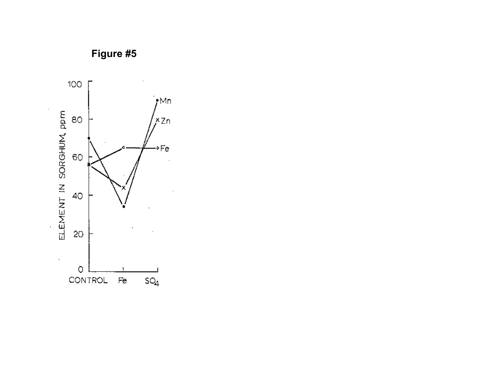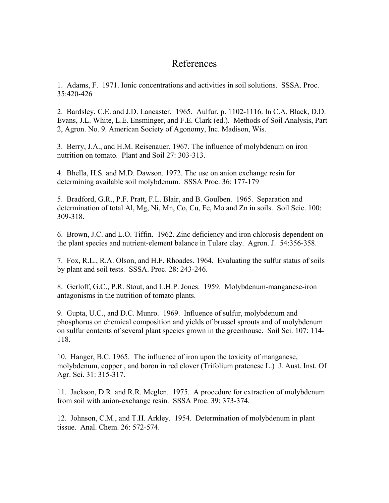## References

1. Adams, F. 1971. Ionic concentrations and activities in soil solutions. SSSA. Proc. 35:420-426

2. Bardsley, C.E. and J.D. Lancaster. 1965. Aulfur, p. 1102-1116. In C.A. Black, D.D. Evans, J.L. White, L.E. Ensminger, and F.E. Clark (ed.). Methods of Soil Analysis, Part 2, Agron. No. 9. American Society of Agonomy, Inc. Madison, Wis.

3. Berry, J.A., and H.M. Reisenauer. 1967. The influence of molybdenum on iron nutrition on tomato. Plant and Soil 27: 303-313.

4. Bhella, H.S. and M.D. Dawson. 1972. The use on anion exchange resin for determining available soil molybdenum. SSSA Proc. 36: 177-179

5. Bradford, G.R., P.F. Pratt, F.L. Blair, and B. Goulben. 1965. Separation and determination of total Al, Mg, Ni, Mn, Co, Cu, Fe, Mo and Zn in soils. Soil Scie. 100: 309-318.

6. Brown, J.C. and L.O. Tiffin. 1962. Zinc deficiency and iron chlorosis dependent on the plant species and nutrient-element balance in Tulare clay. Agron. J. 54:356-358.

7. Fox, R.L., R.A. Olson, and H.F. Rhoades. 1964. Evaluating the sulfur status of soils by plant and soil tests. SSSA. Proc. 28: 243-246.

8. Gerloff, G.C., P.R. Stout, and L.H.P. Jones. 1959. Molybdenum-manganese-iron antagonisms in the nutrition of tomato plants.

9. Gupta, U.C., and D.C. Munro. 1969. Influence of sulfur, molybdenum and phosphorus on chemical composition and yields of brussel sprouts and of molybdenum on sulfur contents of several plant species grown in the greenhouse. Soil Sci. 107: 114- 118.

10. Hanger, B.C. 1965. The influence of iron upon the toxicity of manganese, molybdenum, copper , and boron in red clover (Trifolium pratenese L.) J. Aust. Inst. Of Agr. Sci. 31: 315-317.

11. Jackson, D.R. and R.R. Meglen. 1975. A procedure for extraction of molybdenum from soil with anion-exchange resin. SSSA Proc. 39: 373-374.

12. Johnson, C.M., and T.H. Arkley. 1954. Determination of molybdenum in plant tissue. Anal. Chem. 26: 572-574.